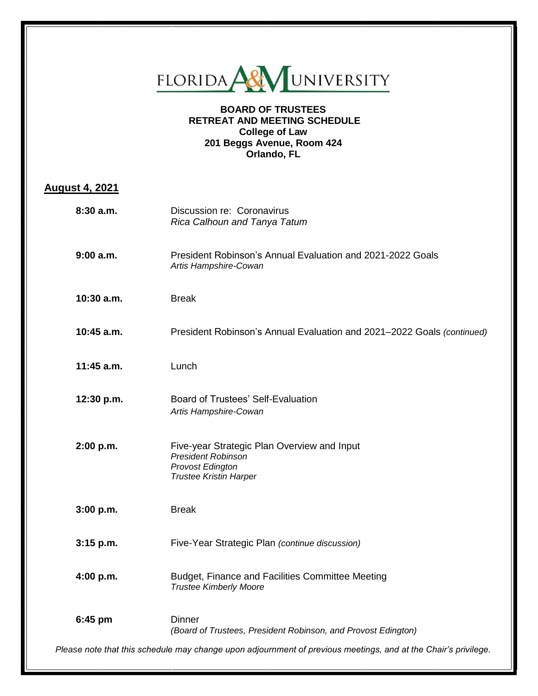

## **BOARD OF TRUSTEES RETREAT AND MEETING SCHEDULE College of Law 201 Beggs Avenue, Room 424 Orlando, FL**

## **August 4, 2021**

| 8:30 a.m.    | Discussion re: Coronavirus<br>Rica Calhoun and Tanya Tatum                                                                    |
|--------------|-------------------------------------------------------------------------------------------------------------------------------|
| 9:00a.m.     | President Robinson's Annual Evaluation and 2021-2022 Goals<br>Artis Hampshire-Cowan                                           |
| $10:30$ a.m. | <b>Break</b>                                                                                                                  |
| $10:45$ a.m. | President Robinson's Annual Evaluation and 2021-2022 Goals (continued)                                                        |
| $11:45$ a.m. | Lunch                                                                                                                         |
| 12:30 p.m.   | <b>Board of Trustees' Self-Evaluation</b><br>Artis Hampshire-Cowan                                                            |
| 2:00 p.m.    | Five-year Strategic Plan Overview and Input<br><b>President Robinson</b><br>Provost Edington<br><b>Trustee Kristin Harper</b> |
| 3:00 p.m.    | <b>Break</b>                                                                                                                  |
| $3:15$ p.m.  | Five-Year Strategic Plan (continue discussion)                                                                                |
| 4:00 p.m.    | Budget, Finance and Facilities Committee Meeting<br><b>Trustee Kimberly Moore</b>                                             |
| 6:45 pm      | <b>Dinner</b><br>(Board of Trustees, President Robinson, and Provost Edington)                                                |
|              | Please note that this schedule may change upon adjournment of previous meetings, and at the Chair's privilege.                |